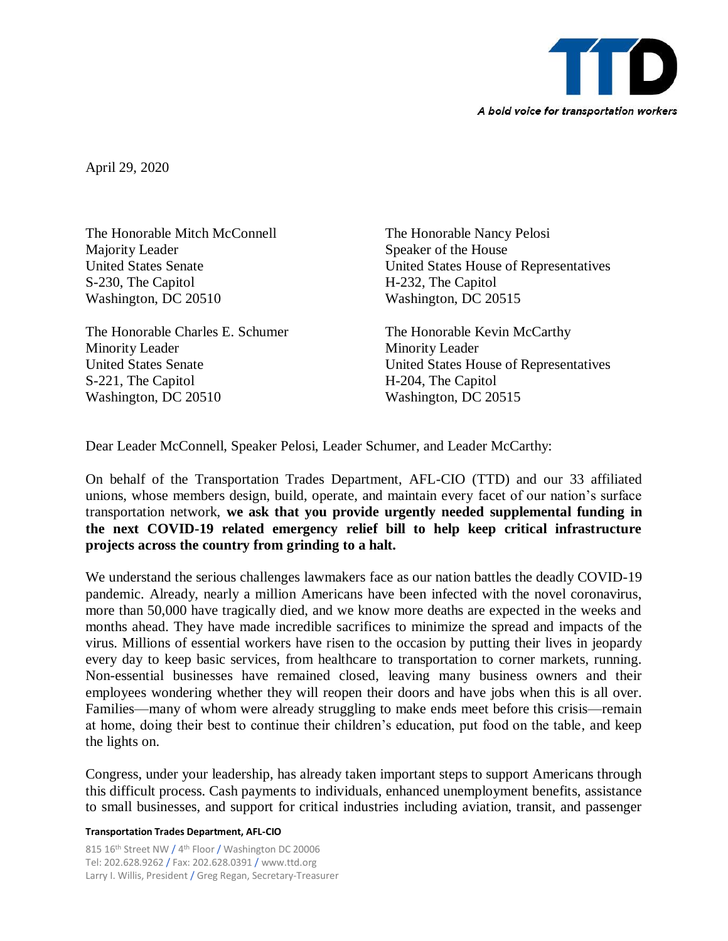

April 29, 2020

The Honorable Mitch McConnell The Honorable Nancy Pelosi Majority Leader Speaker of the House S-230, The Capitol H-232, The Capitol Washington, DC 20510 Washington, DC 20515

The Honorable Charles E. Schumer The Honorable Kevin McCarthy Minority Leader Minority Leader S-221, The Capitol H-204, The Capitol Washington, DC 20510 Washington, DC 20515

United States Senate United States House of Representatives

United States Senate United States House of Representatives

Dear Leader McConnell, Speaker Pelosi, Leader Schumer, and Leader McCarthy:

On behalf of the Transportation Trades Department, AFL-CIO (TTD) and our 33 affiliated unions, whose members design, build, operate, and maintain every facet of our nation's surface transportation network, **we ask that you provide urgently needed supplemental funding in the next COVID-19 related emergency relief bill to help keep critical infrastructure projects across the country from grinding to a halt.** 

We understand the serious challenges lawmakers face as our nation battles the deadly COVID-19 pandemic. Already, nearly a million Americans have been infected with the novel coronavirus, more than 50,000 have tragically died, and we know more deaths are expected in the weeks and months ahead. They have made incredible sacrifices to minimize the spread and impacts of the virus. Millions of essential workers have risen to the occasion by putting their lives in jeopardy every day to keep basic services, from healthcare to transportation to corner markets, running. Non-essential businesses have remained closed, leaving many business owners and their employees wondering whether they will reopen their doors and have jobs when this is all over. Families—many of whom were already struggling to make ends meet before this crisis—remain at home, doing their best to continue their children's education, put food on the table, and keep the lights on.

Congress, under your leadership, has already taken important steps to support Americans through this difficult process. Cash payments to individuals, enhanced unemployment benefits, assistance to small businesses, and support for critical industries including aviation, transit, and passenger

## **Transportation Trades Department, AFL-CIO**

815 16<sup>th</sup> Street NW / 4<sup>th</sup> Floor / Washington DC 20006 Tel: 202.628.9262 / Fax: 202.628.0391 / www.ttd.org Larry I. Willis, President / Greg Regan, Secretary-Treasurer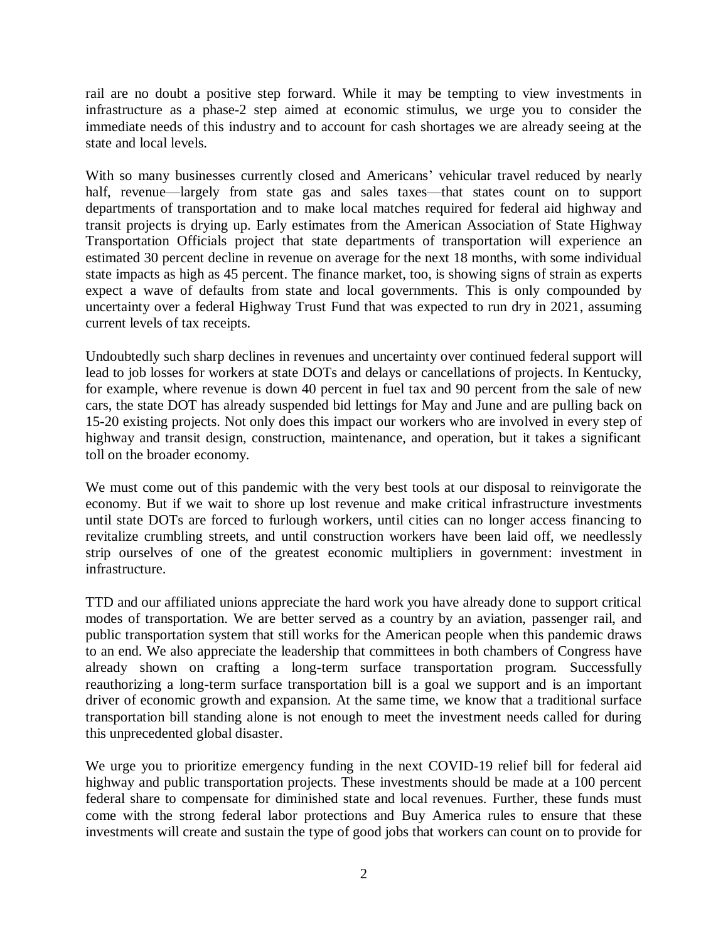rail are no doubt a positive step forward. While it may be tempting to view investments in infrastructure as a phase-2 step aimed at economic stimulus, we urge you to consider the immediate needs of this industry and to account for cash shortages we are already seeing at the state and local levels.

With so many businesses currently closed and Americans' vehicular travel reduced by nearly half, revenue—largely from state gas and sales taxes—that states count on to support departments of transportation and to make local matches required for federal aid highway and transit projects is drying up. Early estimates from the American Association of State Highway Transportation Officials project that state departments of transportation will experience an estimated 30 percent decline in revenue on average for the next 18 months, with some individual state impacts as high as 45 percent. The finance market, too, is showing signs of strain as experts expect a wave of defaults from state and local governments. This is only compounded by uncertainty over a federal Highway Trust Fund that was expected to run dry in 2021, assuming current levels of tax receipts.

Undoubtedly such sharp declines in revenues and uncertainty over continued federal support will lead to job losses for workers at state DOTs and delays or cancellations of projects. In Kentucky, for example, where revenue is down 40 percent in fuel tax and 90 percent from the sale of new cars, the state DOT has already suspended bid lettings for May and June and are pulling back on 15-20 existing projects. Not only does this impact our workers who are involved in every step of highway and transit design, construction, maintenance, and operation, but it takes a significant toll on the broader economy.

We must come out of this pandemic with the very best tools at our disposal to reinvigorate the economy. But if we wait to shore up lost revenue and make critical infrastructure investments until state DOTs are forced to furlough workers, until cities can no longer access financing to revitalize crumbling streets, and until construction workers have been laid off, we needlessly strip ourselves of one of the greatest economic multipliers in government: investment in infrastructure.

TTD and our affiliated unions appreciate the hard work you have already done to support critical modes of transportation. We are better served as a country by an aviation, passenger rail, and public transportation system that still works for the American people when this pandemic draws to an end. We also appreciate the leadership that committees in both chambers of Congress have already shown on crafting a long-term surface transportation program. Successfully reauthorizing a long-term surface transportation bill is a goal we support and is an important driver of economic growth and expansion. At the same time, we know that a traditional surface transportation bill standing alone is not enough to meet the investment needs called for during this unprecedented global disaster.

We urge you to prioritize emergency funding in the next COVID-19 relief bill for federal aid highway and public transportation projects. These investments should be made at a 100 percent federal share to compensate for diminished state and local revenues. Further, these funds must come with the strong federal labor protections and Buy America rules to ensure that these investments will create and sustain the type of good jobs that workers can count on to provide for